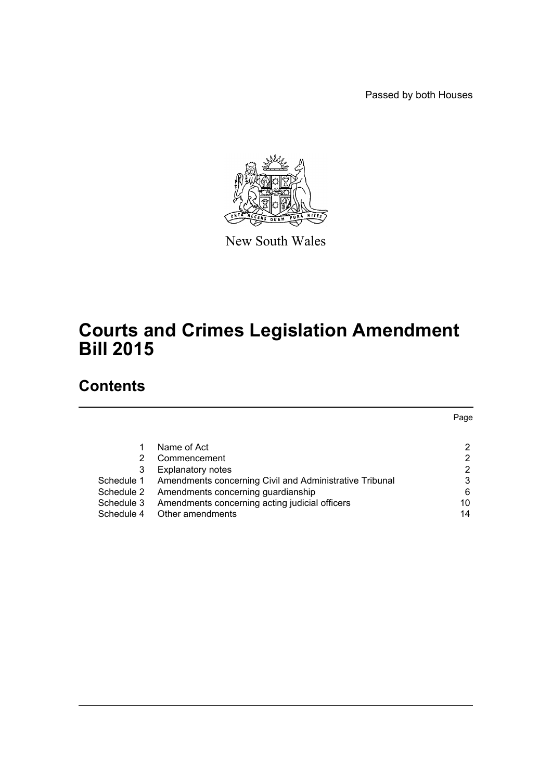Passed by both Houses



New South Wales

# **Courts and Crimes Legislation Amendment Bill 2015**

# **Contents**

|            |                                                         | Page |
|------------|---------------------------------------------------------|------|
|            |                                                         |      |
|            | Name of Act                                             | 2    |
| 2          | Commencement                                            | 2    |
| 3          | <b>Explanatory notes</b>                                | 2    |
| Schedule 1 | Amendments concerning Civil and Administrative Tribunal | 3    |
| Schedule 2 | Amendments concerning guardianship                      | 6    |
| Schedule 3 | Amendments concerning acting judicial officers          | 10   |
| Schedule 4 | Other amendments                                        | 14   |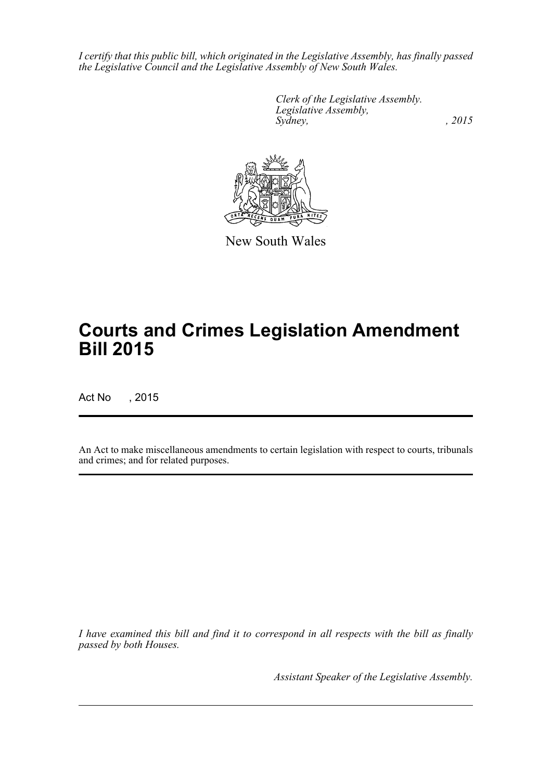*I certify that this public bill, which originated in the Legislative Assembly, has finally passed the Legislative Council and the Legislative Assembly of New South Wales.*

> *Clerk of the Legislative Assembly. Legislative Assembly, Sydney,* , 2015



New South Wales

# **Courts and Crimes Legislation Amendment Bill 2015**

Act No , 2015

An Act to make miscellaneous amendments to certain legislation with respect to courts, tribunals and crimes; and for related purposes.

*I have examined this bill and find it to correspond in all respects with the bill as finally passed by both Houses.*

*Assistant Speaker of the Legislative Assembly.*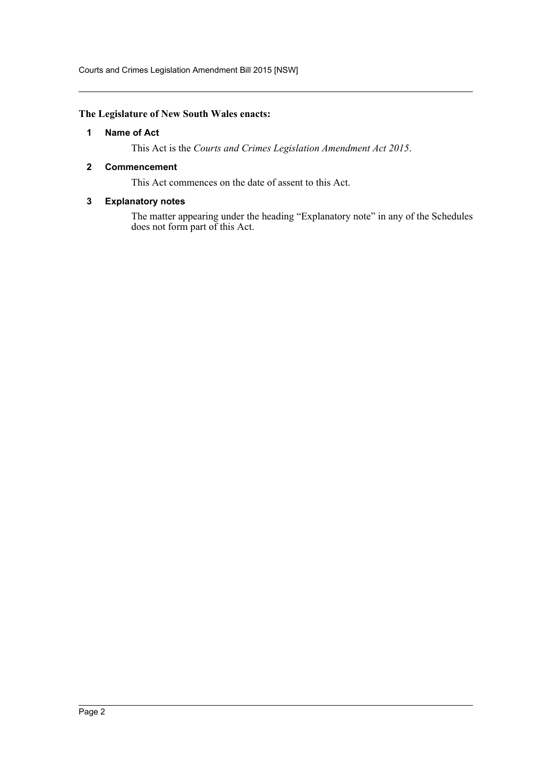Courts and Crimes Legislation Amendment Bill 2015 [NSW]

# <span id="page-2-0"></span>**The Legislature of New South Wales enacts:**

# **1 Name of Act**

This Act is the *Courts and Crimes Legislation Amendment Act 2015*.

# <span id="page-2-1"></span>**2 Commencement**

This Act commences on the date of assent to this Act.

# <span id="page-2-2"></span>**3 Explanatory notes**

The matter appearing under the heading "Explanatory note" in any of the Schedules does not form part of this Act.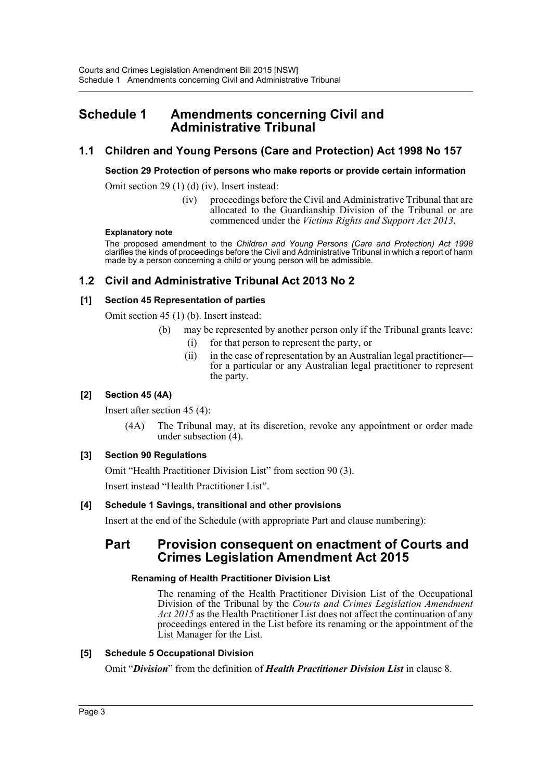# <span id="page-3-0"></span>**Schedule 1 Amendments concerning Civil and Administrative Tribunal**

# **1.1 Children and Young Persons (Care and Protection) Act 1998 No 157**

# **Section 29 Protection of persons who make reports or provide certain information**

Omit section 29 (1) (d) (iv). Insert instead:

(iv) proceedings before the Civil and Administrative Tribunal that are allocated to the Guardianship Division of the Tribunal or are commenced under the *Victims Rights and Support Act 2013*,

## **Explanatory note**

The proposed amendment to the *Children and Young Persons (Care and Protection) Act 1998* clarifies the kinds of proceedings before the Civil and Administrative Tribunal in which a report of harm made by a person concerning a child or young person will be admissible.

# **1.2 Civil and Administrative Tribunal Act 2013 No 2**

# **[1] Section 45 Representation of parties**

Omit section 45 (1) (b). Insert instead:

- (b) may be represented by another person only if the Tribunal grants leave:
	- (i) for that person to represent the party, or
	- (ii) in the case of representation by an Australian legal practitioner for a particular or any Australian legal practitioner to represent the party.

# **[2] Section 45 (4A)**

Insert after section 45 (4):

(4A) The Tribunal may, at its discretion, revoke any appointment or order made under subsection (4).

# **[3] Section 90 Regulations**

Omit "Health Practitioner Division List" from section 90 (3). Insert instead "Health Practitioner List".

# **[4] Schedule 1 Savings, transitional and other provisions**

Insert at the end of the Schedule (with appropriate Part and clause numbering):

# **Part Provision consequent on enactment of Courts and Crimes Legislation Amendment Act 2015**

# **Renaming of Health Practitioner Division List**

The renaming of the Health Practitioner Division List of the Occupational Division of the Tribunal by the *Courts and Crimes Legislation Amendment Act 2015* as the Health Practitioner List does not affect the continuation of any proceedings entered in the List before its renaming or the appointment of the List Manager for the List.

# **[5] Schedule 5 Occupational Division**

Omit "*Division*" from the definition of *Health Practitioner Division List* in clause 8.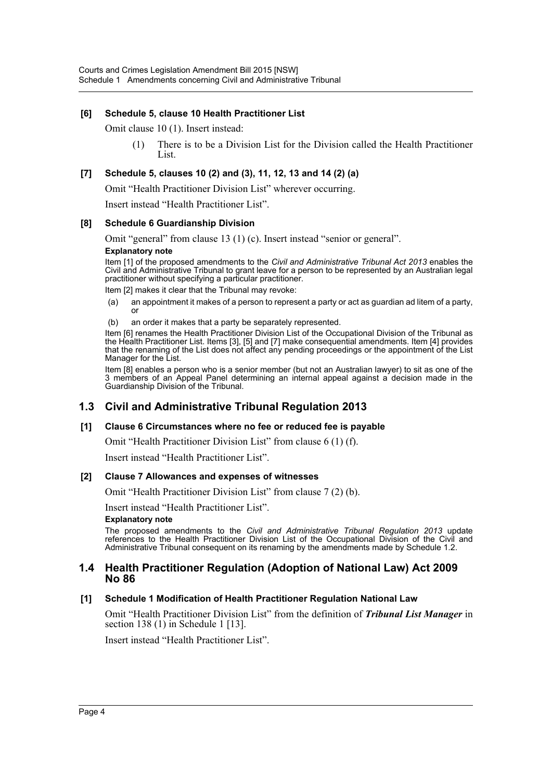# **[6] Schedule 5, clause 10 Health Practitioner List**

Omit clause 10 (1). Insert instead:

(1) There is to be a Division List for the Division called the Health Practitioner List.

# **[7] Schedule 5, clauses 10 (2) and (3), 11, 12, 13 and 14 (2) (a)**

Omit "Health Practitioner Division List" wherever occurring.

Insert instead "Health Practitioner List".

## **[8] Schedule 6 Guardianship Division**

Omit "general" from clause 13 (1) (c). Insert instead "senior or general".

# **Explanatory note**

Item [1] of the proposed amendments to the *Civil and Administrative Tribunal Act 2013* enables the Civil and Administrative Tribunal to grant leave for a person to be represented by an Australian legal practitioner without specifying a particular practitioner.

Item [2] makes it clear that the Tribunal may revoke:

- (a) an appointment it makes of a person to represent a party or act as guardian ad litem of a party, or
- (b) an order it makes that a party be separately represented.

Item [6] renames the Health Practitioner Division List of the Occupational Division of the Tribunal as the Health Practitioner List. Items [3], [5] and [7] make consequential amendments. Item [4] provides that the renaming of the List does not affect any pending proceedings or the appointment of the List Manager for the List.

Item [8] enables a person who is a senior member (but not an Australian lawyer) to sit as one of the 3 members of an Appeal Panel determining an internal appeal against a decision made in the Guardianship Division of the Tribunal.

# **1.3 Civil and Administrative Tribunal Regulation 2013**

## **[1] Clause 6 Circumstances where no fee or reduced fee is payable**

Omit "Health Practitioner Division List" from clause 6 (1) (f).

Insert instead "Health Practitioner List".

## **[2] Clause 7 Allowances and expenses of witnesses**

Omit "Health Practitioner Division List" from clause 7 (2) (b).

Insert instead "Health Practitioner List".

#### **Explanatory note**

The proposed amendments to the *Civil and Administrative Tribunal Regulation 2013* update references to the Health Practitioner Division List of the Occupational Division of the Civil and Administrative Tribunal consequent on its renaming by the amendments made by Schedule 1.2.

# **1.4 Health Practitioner Regulation (Adoption of National Law) Act 2009 No 86**

# **[1] Schedule 1 Modification of Health Practitioner Regulation National Law**

Omit "Health Practitioner Division List" from the definition of *Tribunal List Manager* in section 138 (1) in Schedule 1 [13].

Insert instead "Health Practitioner List".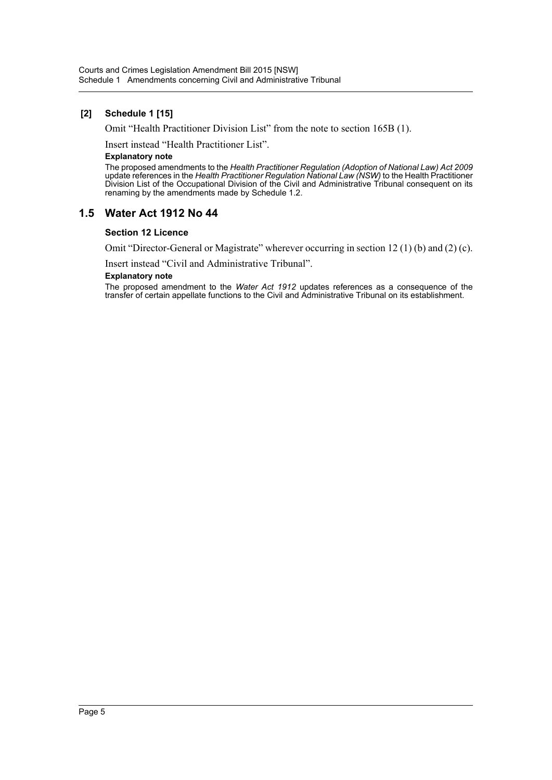# **[2] Schedule 1 [15]**

Omit "Health Practitioner Division List" from the note to section 165B (1).

Insert instead "Health Practitioner List".

#### **Explanatory note**

The proposed amendments to the *Health Practitioner Regulation (Adoption of National Law) Act 2009* update references in the *Health Practitioner Regulation National Law (NSW)* to the Health Practitioner Division List of the Occupational Division of the Civil and Administrative Tribunal consequent on its renaming by the amendments made by Schedule 1.2.

# **1.5 Water Act 1912 No 44**

#### **Section 12 Licence**

Omit "Director-General or Magistrate" wherever occurring in section 12 (1) (b) and (2) (c).

Insert instead "Civil and Administrative Tribunal".

#### **Explanatory note**

The proposed amendment to the *Water Act 1912* updates references as a consequence of the transfer of certain appellate functions to the Civil and Administrative Tribunal on its establishment.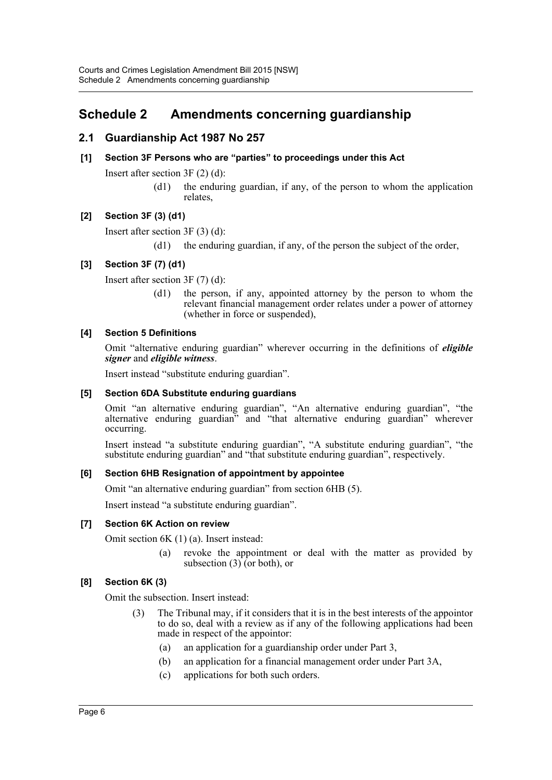# <span id="page-6-0"></span>**Schedule 2 Amendments concerning guardianship**

# **2.1 Guardianship Act 1987 No 257**

# **[1] Section 3F Persons who are "parties" to proceedings under this Act**

Insert after section 3F (2) (d):

(d1) the enduring guardian, if any, of the person to whom the application relates,

# **[2] Section 3F (3) (d1)**

Insert after section 3F (3) (d):

(d1) the enduring guardian, if any, of the person the subject of the order,

# **[3] Section 3F (7) (d1)**

Insert after section 3F (7) (d):

(d1) the person, if any, appointed attorney by the person to whom the relevant financial management order relates under a power of attorney (whether in force or suspended),

## **[4] Section 5 Definitions**

Omit "alternative enduring guardian" wherever occurring in the definitions of *eligible signer* and *eligible witness*.

Insert instead "substitute enduring guardian".

#### **[5] Section 6DA Substitute enduring guardians**

Omit "an alternative enduring guardian", "An alternative enduring guardian", "the alternative enduring guardian" and "that alternative enduring guardian" wherever occurring.

Insert instead "a substitute enduring guardian", "A substitute enduring guardian", "the substitute enduring guardian" and "that substitute enduring guardian", respectively.

## **[6] Section 6HB Resignation of appointment by appointee**

Omit "an alternative enduring guardian" from section 6HB (5).

Insert instead "a substitute enduring guardian".

## **[7] Section 6K Action on review**

Omit section 6K (1) (a). Insert instead:

(a) revoke the appointment or deal with the matter as provided by subsection (3) (or both), or

# **[8] Section 6K (3)**

Omit the subsection. Insert instead:

- (3) The Tribunal may, if it considers that it is in the best interests of the appointor to do so, deal with a review as if any of the following applications had been made in respect of the appointor:
	- (a) an application for a guardianship order under Part 3,
	- (b) an application for a financial management order under Part 3A,
	- (c) applications for both such orders.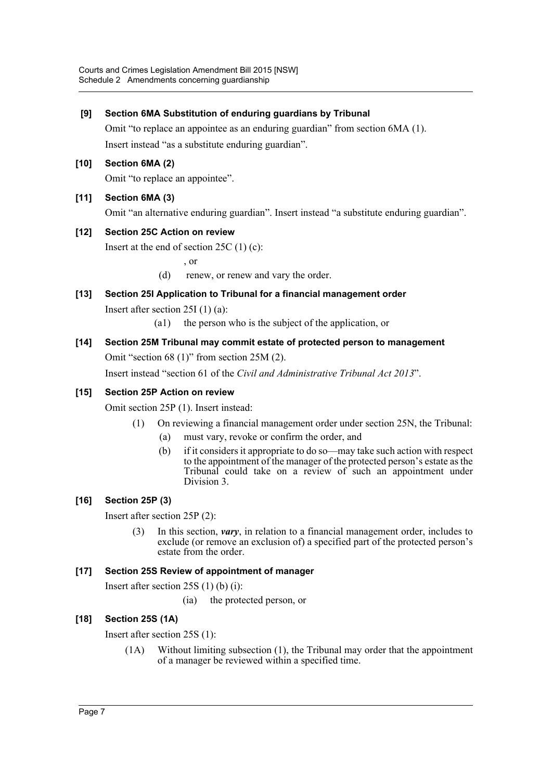# **[9] Section 6MA Substitution of enduring guardians by Tribunal**

Omit "to replace an appointee as an enduring guardian" from section 6MA (1). Insert instead "as a substitute enduring guardian".

# **[10] Section 6MA (2)**

Omit "to replace an appointee".

# **[11] Section 6MA (3)**

Omit "an alternative enduring guardian". Insert instead "a substitute enduring guardian".

# **[12] Section 25C Action on review**

Insert at the end of section 25C (1) (c):

, or

- (d) renew, or renew and vary the order.
- **[13] Section 25I Application to Tribunal for a financial management order** Insert after section 25I (1) (a):
	- (a1) the person who is the subject of the application, or
- **[14] Section 25M Tribunal may commit estate of protected person to management** Omit "section 68 (1)" from section 25M (2).

Insert instead "section 61 of the *Civil and Administrative Tribunal Act 2013*".

# **[15] Section 25P Action on review**

Omit section 25P (1). Insert instead:

- (1) On reviewing a financial management order under section 25N, the Tribunal:
	- (a) must vary, revoke or confirm the order, and
	- (b) if it considers it appropriate to do so—may take such action with respect to the appointment of the manager of the protected person's estate as the Tribunal could take on a review of such an appointment under Division 3.

# **[16] Section 25P (3)**

Insert after section 25P (2):

(3) In this section, *vary*, in relation to a financial management order, includes to exclude (or remove an exclusion of) a specified part of the protected person's estate from the order.

## **[17] Section 25S Review of appointment of manager**

Insert after section 25S (1) (b) (i):

(ia) the protected person, or

# **[18] Section 25S (1A)**

Insert after section 25S (1):

(1A) Without limiting subsection (1), the Tribunal may order that the appointment of a manager be reviewed within a specified time.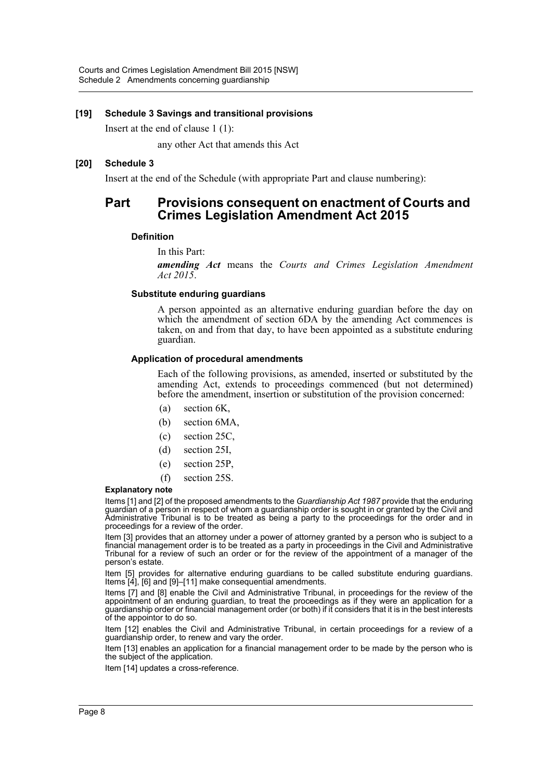## **[19] Schedule 3 Savings and transitional provisions**

Insert at the end of clause 1 (1):

any other Act that amends this Act

#### **[20] Schedule 3**

Insert at the end of the Schedule (with appropriate Part and clause numbering):

# **Part Provisions consequent on enactment of Courts and Crimes Legislation Amendment Act 2015**

#### **Definition**

In this Part:

*amending Act* means the *Courts and Crimes Legislation Amendment Act 2015*.

#### **Substitute enduring guardians**

A person appointed as an alternative enduring guardian before the day on which the amendment of section 6DA by the amending Act commences is taken, on and from that day, to have been appointed as a substitute enduring guardian.

#### **Application of procedural amendments**

Each of the following provisions, as amended, inserted or substituted by the amending Act, extends to proceedings commenced (but not determined) before the amendment, insertion or substitution of the provision concerned:

- (a) section 6K,
- (b) section 6MA,
- (c) section 25C,
- (d) section 25I,
- (e) section 25P,
- (f) section 25S.

#### **Explanatory note**

Items [1] and [2] of the proposed amendments to the *Guardianship Act 1987* provide that the enduring guardian of a person in respect of whom a guardianship order is sought in or granted by the Civil and Administrative Tribunal is to be treated as being a party to the proceedings for the order and in proceedings for a review of the order.

Item [3] provides that an attorney under a power of attorney granted by a person who is subject to a financial management order is to be treated as a party in proceedings in the Civil and Administrative Tribunal for a review of such an order or for the review of the appointment of a manager of the person's estate.

Item [5] provides for alternative enduring guardians to be called substitute enduring guardians. Items [4], [6] and [9]–[11] make consequential amendments.

Items [7] and [8] enable the Civil and Administrative Tribunal, in proceedings for the review of the appointment of an enduring guardian, to treat the proceedings as if they were an application for a guardianship order or financial management order (or both) if it considers that it is in the best interests of the appointor to do so.

Item [12] enables the Civil and Administrative Tribunal, in certain proceedings for a review of a guardianship order, to renew and vary the order.

Item [13] enables an application for a financial management order to be made by the person who is the subject of the application.

Item [14] updates a cross-reference.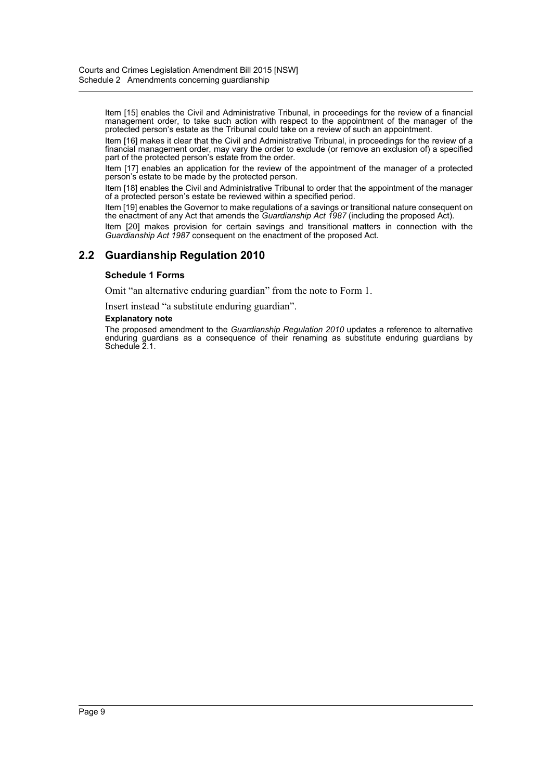Item [15] enables the Civil and Administrative Tribunal, in proceedings for the review of a financial management order, to take such action with respect to the appointment of the manager of the protected person's estate as the Tribunal could take on a review of such an appointment.

Item [16] makes it clear that the Civil and Administrative Tribunal, in proceedings for the review of a financial management order, may vary the order to exclude (or remove an exclusion of) a specified part of the protected person's estate from the order.

Item [17] enables an application for the review of the appointment of the manager of a protected person's estate to be made by the protected person.

Item [18] enables the Civil and Administrative Tribunal to order that the appointment of the manager of a protected person's estate be reviewed within a specified period.

Item [19] enables the Governor to make regulations of a savings or transitional nature consequent on the enactment of any Act that amends the *Guardianship Act 1987* (including the proposed Act).

Item [20] makes provision for certain savings and transitional matters in connection with the *Guardianship Act 1987* consequent on the enactment of the proposed Act.

# **2.2 Guardianship Regulation 2010**

#### **Schedule 1 Forms**

Omit "an alternative enduring guardian" from the note to Form 1.

Insert instead "a substitute enduring guardian".

#### **Explanatory note**

The proposed amendment to the *Guardianship Regulation 2010* updates a reference to alternative enduring guardians as a consequence of their renaming as substitute enduring guardians by Schedule 2.1.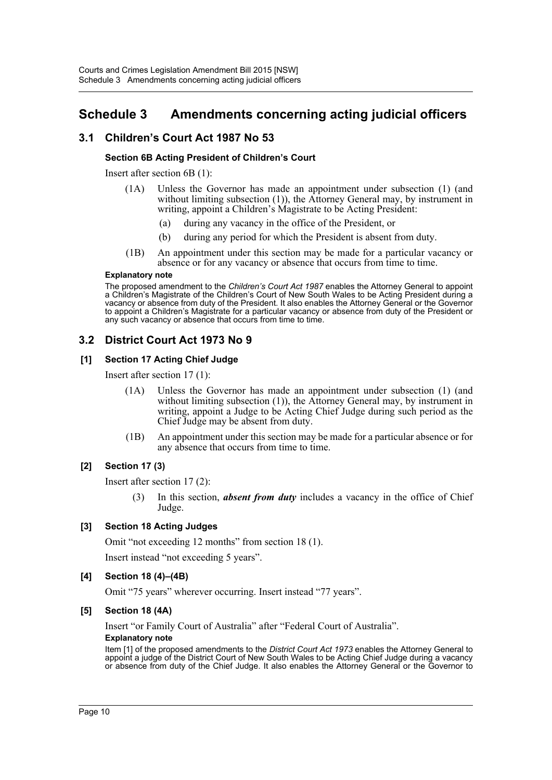# <span id="page-10-0"></span>**Schedule 3 Amendments concerning acting judicial officers**

# **3.1 Children's Court Act 1987 No 53**

# **Section 6B Acting President of Children's Court**

Insert after section 6B (1):

- (1A) Unless the Governor has made an appointment under subsection (1) (and without limiting subsection (1)), the Attorney General may, by instrument in writing, appoint a Children's Magistrate to be Acting President:
	- (a) during any vacancy in the office of the President, or
	- (b) during any period for which the President is absent from duty.
- (1B) An appointment under this section may be made for a particular vacancy or absence or for any vacancy or absence that occurs from time to time.

#### **Explanatory note**

The proposed amendment to the *Children's Court Act 1987* enables the Attorney General to appoint a Children's Magistrate of the Children's Court of New South Wales to be Acting President during a vacancy or absence from duty of the President. It also enables the Attorney General or the Governor to appoint a Children's Magistrate for a particular vacancy or absence from duty of the President or any such vacancy or absence that occurs from time to time.

# **3.2 District Court Act 1973 No 9**

# **[1] Section 17 Acting Chief Judge**

Insert after section 17 (1):

- (1A) Unless the Governor has made an appointment under subsection (1) (and without limiting subsection (1)), the Attorney General may, by instrument in writing, appoint a Judge to be Acting Chief Judge during such period as the Chief Judge may be absent from duty.
- (1B) An appointment under this section may be made for a particular absence or for any absence that occurs from time to time.

# **[2] Section 17 (3)**

Insert after section 17 (2):

(3) In this section, *absent from duty* includes a vacancy in the office of Chief Judge.

## **[3] Section 18 Acting Judges**

Omit "not exceeding 12 months" from section 18 (1).

Insert instead "not exceeding 5 years".

## **[4] Section 18 (4)–(4B)**

Omit "75 years" wherever occurring. Insert instead "77 years".

## **[5] Section 18 (4A)**

Insert "or Family Court of Australia" after "Federal Court of Australia". **Explanatory note**

Item [1] of the proposed amendments to the *District Court Act 1973* enables the Attorney General to appoint a judge of the District Court of New South Wales to be Acting Chief Judge during a vacancy or absence from duty of the Chief Judge. It also enables the Attorney General or the Governor to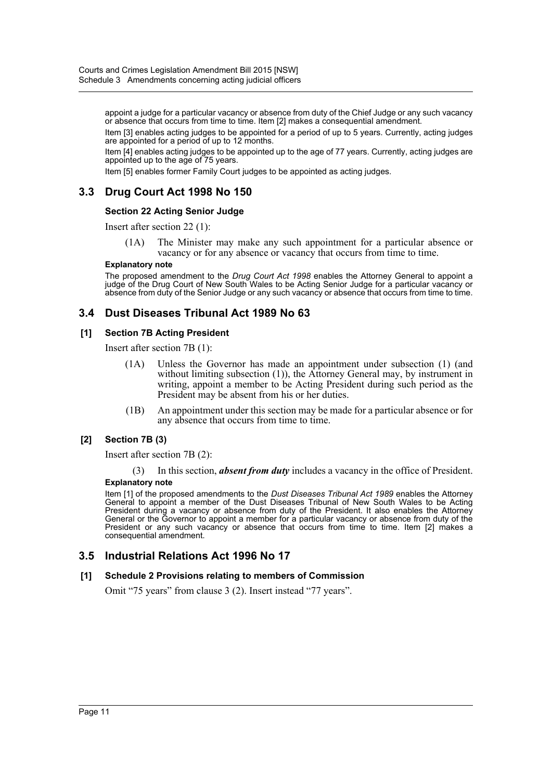appoint a judge for a particular vacancy or absence from duty of the Chief Judge or any such vacancy or absence that occurs from time to time. Item [2] makes a consequential amendment.

Item [3] enables acting judges to be appointed for a period of up to 5 years. Currently, acting judges are appointed for a period of up to 12 months.

Item [4] enables acting judges to be appointed up to the age of 77 years. Currently, acting judges are appointed up to the age of 75 years.

Item [5] enables former Family Court judges to be appointed as acting judges.

# **3.3 Drug Court Act 1998 No 150**

#### **Section 22 Acting Senior Judge**

Insert after section 22 (1):

(1A) The Minister may make any such appointment for a particular absence or vacancy or for any absence or vacancy that occurs from time to time.

#### **Explanatory note**

The proposed amendment to the *Drug Court Act 1998* enables the Attorney General to appoint a judge of the Drug Court of New South Wales to be Acting Senior Judge for a particular vacancy or absence from duty of the Senior Judge or any such vacancy or absence that occurs from time to time.

# **3.4 Dust Diseases Tribunal Act 1989 No 63**

#### **[1] Section 7B Acting President**

Insert after section 7B (1):

- (1A) Unless the Governor has made an appointment under subsection (1) (and without limiting subsection (1)), the Attorney General may, by instrument in writing, appoint a member to be Acting President during such period as the President may be absent from his or her duties.
- (1B) An appointment under this section may be made for a particular absence or for any absence that occurs from time to time.

## **[2] Section 7B (3)**

Insert after section 7B (2):

(3) In this section, *absent from duty* includes a vacancy in the office of President.

#### **Explanatory note**

Item [1] of the proposed amendments to the *Dust Diseases Tribunal Act 1989* enables the Attorney General to appoint a member of the Dust Diseases Tribunal of New South Wales to be Acting President during a vacancy or absence from duty of the President. It also enables the Attorney General or the Governor to appoint a member for a particular vacancy or absence from duty of the President or any such vacancy or absence that occurs from time to time. Item [2] makes a consequential amendment.

# **3.5 Industrial Relations Act 1996 No 17**

#### **[1] Schedule 2 Provisions relating to members of Commission**

Omit "75 years" from clause 3 (2). Insert instead "77 years".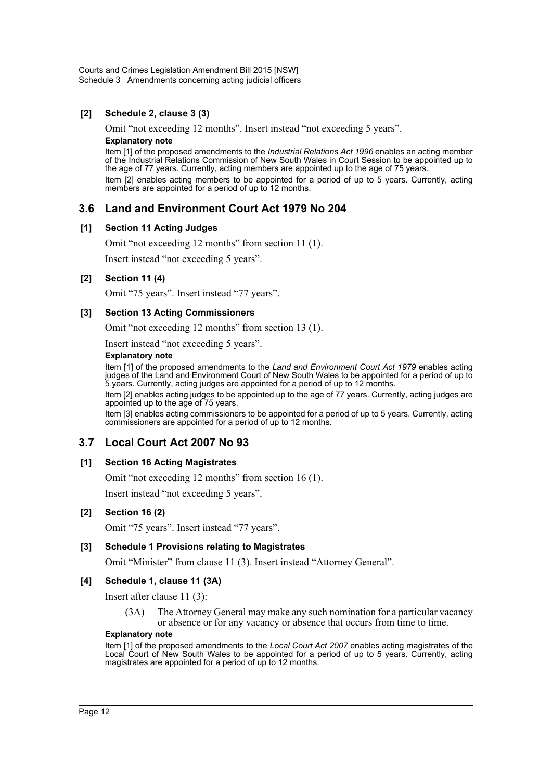# **[2] Schedule 2, clause 3 (3)**

Omit "not exceeding 12 months". Insert instead "not exceeding 5 years". **Explanatory note**

Item [1] of the proposed amendments to the *Industrial Relations Act 1996* enables an acting member of the Industrial Relations Commission of New South Wales in Court Session to be appointed up to the age of 77 years. Currently, acting members are appointed up to the age of 75 years.

Item [2] enables acting members to be appointed for a period of up to 5 years. Currently, acting members are appointed for a period of up to 12 months.

# **3.6 Land and Environment Court Act 1979 No 204**

## **[1] Section 11 Acting Judges**

Omit "not exceeding 12 months" from section 11 (1).

Insert instead "not exceeding 5 years".

## **[2] Section 11 (4)**

Omit "75 years". Insert instead "77 years".

## **[3] Section 13 Acting Commissioners**

Omit "not exceeding 12 months" from section 13 (1).

Insert instead "not exceeding 5 years".

#### **Explanatory note**

Item [1] of the proposed amendments to the *Land and Environment Court Act 1979* enables acting judges of the Land and Environment Court of New South Wales to be appointed for a period of up to 5 years. Currently, acting judges are appointed for a period of up to 12 months.

Item [2] enables acting judges to be appointed up to the age of 77 years. Currently, acting judges are appointed up to the age of 75 years.

Item [3] enables acting commissioners to be appointed for a period of up to 5 years. Currently, acting commissioners are appointed for a period of up to 12 months.

# **3.7 Local Court Act 2007 No 93**

## **[1] Section 16 Acting Magistrates**

Omit "not exceeding 12 months" from section 16 (1).

Insert instead "not exceeding 5 years".

## **[2] Section 16 (2)**

Omit "75 years". Insert instead "77 years".

## **[3] Schedule 1 Provisions relating to Magistrates**

Omit "Minister" from clause 11 (3). Insert instead "Attorney General".

## **[4] Schedule 1, clause 11 (3A)**

Insert after clause 11 (3):

(3A) The Attorney General may make any such nomination for a particular vacancy or absence or for any vacancy or absence that occurs from time to time.

#### **Explanatory note**

Item [1] of the proposed amendments to the *Local Court Act 2007* enables acting magistrates of the Local Court of New South Wales to be appointed for a period of up to 5 years. Currently, acting magistrates are appointed for a period of up to 12 months.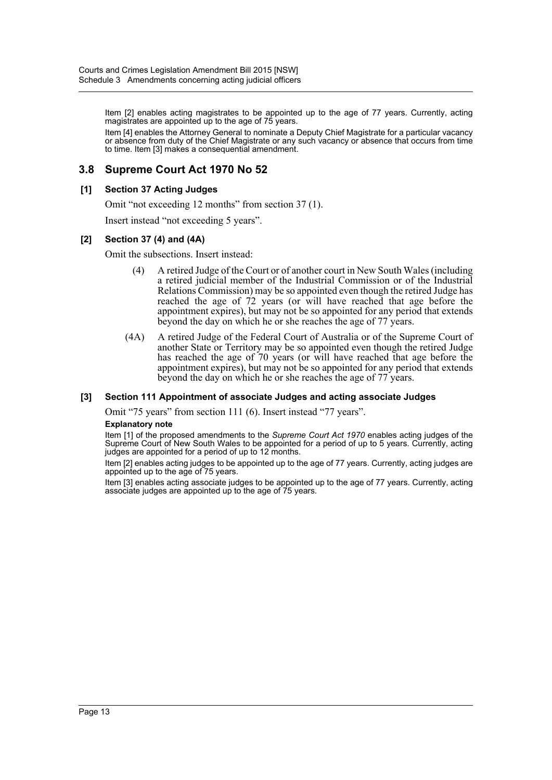Item [2] enables acting magistrates to be appointed up to the age of 77 years. Currently, acting magistrates are appointed up to the age of 75 years.

Item [4] enables the Attorney General to nominate a Deputy Chief Magistrate for a particular vacancy or absence from duty of the Chief Magistrate or any such vacancy or absence that occurs from time to time. Item [3] makes a consequential amendment.

# **3.8 Supreme Court Act 1970 No 52**

## **[1] Section 37 Acting Judges**

Omit "not exceeding 12 months" from section 37 (1).

Insert instead "not exceeding 5 years".

#### **[2] Section 37 (4) and (4A)**

Omit the subsections. Insert instead:

- (4) A retired Judge of the Court or of another court in New South Wales (including a retired judicial member of the Industrial Commission or of the Industrial Relations Commission) may be so appointed even though the retired Judge has reached the age of 72 years (or will have reached that age before the appointment expires), but may not be so appointed for any period that extends beyond the day on which he or she reaches the age of 77 years.
- (4A) A retired Judge of the Federal Court of Australia or of the Supreme Court of another State or Territory may be so appointed even though the retired Judge has reached the age of 70 years (or will have reached that age before the appointment expires), but may not be so appointed for any period that extends beyond the day on which he or she reaches the age of 77 years.

#### **[3] Section 111 Appointment of associate Judges and acting associate Judges**

Omit "75 years" from section 111 (6). Insert instead "77 years".

#### **Explanatory note**

Item [1] of the proposed amendments to the *Supreme Court Act 1970* enables acting judges of the Supreme Court of New South Wales to be appointed for a period of up to 5 years. Currently, acting judges are appointed for a period of up to 12 months.

Item [2] enables acting judges to be appointed up to the age of 77 years. Currently, acting judges are appointed up to the age of 75 years.

Item [3] enables acting associate judges to be appointed up to the age of 77 years. Currently, acting associate judges are appointed up to the age of 75 years.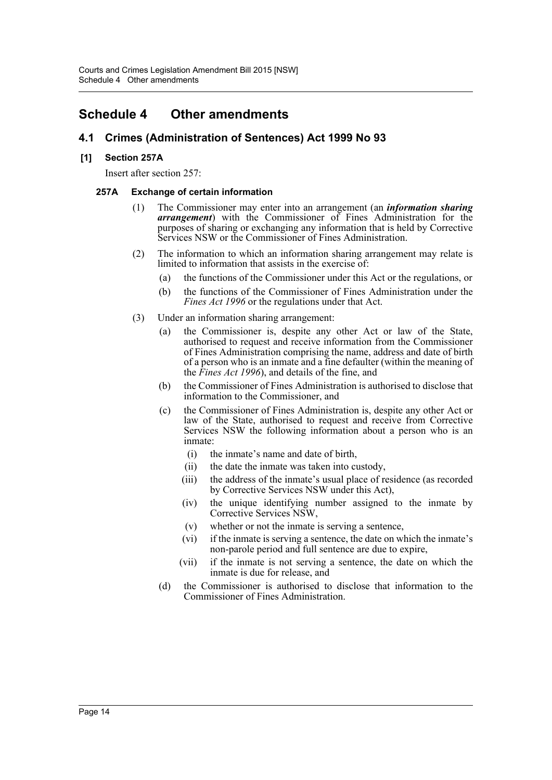# <span id="page-14-0"></span>**Schedule 4 Other amendments**

# **4.1 Crimes (Administration of Sentences) Act 1999 No 93**

# **[1] Section 257A**

Insert after section 257:

# **257A Exchange of certain information**

- (1) The Commissioner may enter into an arrangement (an *information sharing arrangement*) with the Commissioner of Fines Administration for the purposes of sharing or exchanging any information that is held by Corrective Services NSW or the Commissioner of Fines Administration.
- (2) The information to which an information sharing arrangement may relate is limited to information that assists in the exercise of:
	- (a) the functions of the Commissioner under this Act or the regulations, or
	- (b) the functions of the Commissioner of Fines Administration under the *Fines Act 1996* or the regulations under that Act.
- (3) Under an information sharing arrangement:
	- (a) the Commissioner is, despite any other Act or law of the State, authorised to request and receive information from the Commissioner of Fines Administration comprising the name, address and date of birth of a person who is an inmate and a fine defaulter (within the meaning of the *Fines Act 1996*), and details of the fine, and
	- (b) the Commissioner of Fines Administration is authorised to disclose that information to the Commissioner, and
	- (c) the Commissioner of Fines Administration is, despite any other Act or law of the State, authorised to request and receive from Corrective Services NSW the following information about a person who is an inmate:
		- (i) the inmate's name and date of birth,
		- (ii) the date the inmate was taken into custody,
		- (iii) the address of the inmate's usual place of residence (as recorded by Corrective Services NSW under this Act),
		- (iv) the unique identifying number assigned to the inmate by Corrective Services NSW,
		- (v) whether or not the inmate is serving a sentence,
		- (vi) if the inmate is serving a sentence, the date on which the inmate's non-parole period and full sentence are due to expire,
		- (vii) if the inmate is not serving a sentence, the date on which the inmate is due for release, and
	- (d) the Commissioner is authorised to disclose that information to the Commissioner of Fines Administration.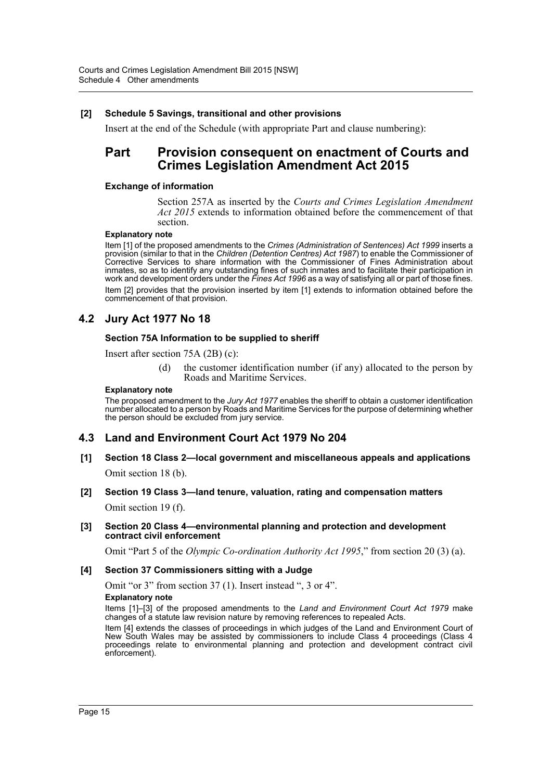# **[2] Schedule 5 Savings, transitional and other provisions**

Insert at the end of the Schedule (with appropriate Part and clause numbering):

# **Part Provision consequent on enactment of Courts and Crimes Legislation Amendment Act 2015**

#### **Exchange of information**

Section 257A as inserted by the *Courts and Crimes Legislation Amendment Act 2015* extends to information obtained before the commencement of that section.

#### **Explanatory note**

Item [1] of the proposed amendments to the *Crimes (Administration of Sentences) Act 1999* inserts a provision (similar to that in the *Children (Detention Centres) Act 1987*) to enable the Commissioner of Corrective Services to share information with the Commissioner of Fines Administration about inmates, so as to identify any outstanding fines of such inmates and to facilitate their participation in work and development orders under the *Fines Act 1996* as a way of satisfying all or part of those fines. Item [2] provides that the provision inserted by item [1] extends to information obtained before the commencement of that provision.

# **4.2 Jury Act 1977 No 18**

#### **Section 75A Information to be supplied to sheriff**

Insert after section 75A (2B) (c):

(d) the customer identification number (if any) allocated to the person by Roads and Maritime Services.

#### **Explanatory note**

The proposed amendment to the *Jury Act 1977* enables the sheriff to obtain a customer identification number allocated to a person by Roads and Maritime Services for the purpose of determining whether the person should be excluded from jury service.

# **4.3 Land and Environment Court Act 1979 No 204**

**[1] Section 18 Class 2—local government and miscellaneous appeals and applications** Omit section 18 (b).

## **[2] Section 19 Class 3—land tenure, valuation, rating and compensation matters**

Omit section 19 (f).

#### **[3] Section 20 Class 4—environmental planning and protection and development contract civil enforcement**

Omit "Part 5 of the *Olympic Co-ordination Authority Act 1995*," from section 20 (3) (a).

#### **[4] Section 37 Commissioners sitting with a Judge**

Omit "or 3" from section 37 (1). Insert instead ", 3 or 4". **Explanatory note**

Items [1]–[3] of the proposed amendments to the *Land and Environment Court Act 1979* make changes of a statute law revision nature by removing references to repealed Acts.

Item [4] extends the classes of proceedings in which judges of the Land and Environment Court of New South Wales may be assisted by commissioners to include Class 4 proceedings (Class 4 proceedings relate to environmental planning and protection and development contract civil enforcement).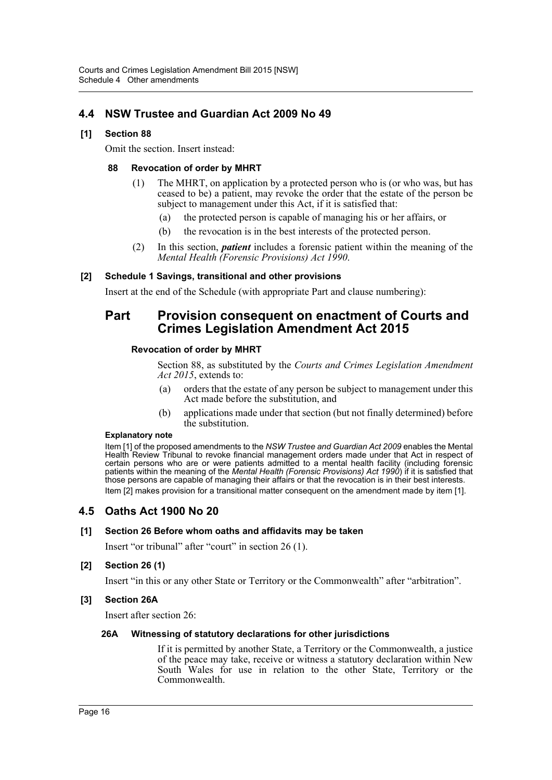# **4.4 NSW Trustee and Guardian Act 2009 No 49**

# **[1] Section 88**

Omit the section. Insert instead:

## **88 Revocation of order by MHRT**

- (1) The MHRT, on application by a protected person who is (or who was, but has ceased to be) a patient, may revoke the order that the estate of the person be subject to management under this Act, if it is satisfied that:
	- (a) the protected person is capable of managing his or her affairs, or
	- (b) the revocation is in the best interests of the protected person.
- (2) In this section, *patient* includes a forensic patient within the meaning of the *Mental Health (Forensic Provisions) Act 1990*.

# **[2] Schedule 1 Savings, transitional and other provisions**

Insert at the end of the Schedule (with appropriate Part and clause numbering):

# **Part Provision consequent on enactment of Courts and Crimes Legislation Amendment Act 2015**

## **Revocation of order by MHRT**

Section 88, as substituted by the *Courts and Crimes Legislation Amendment Act 2015*, extends to:

- (a) orders that the estate of any person be subject to management under this Act made before the substitution, and
- (b) applications made under that section (but not finally determined) before the substitution.

## **Explanatory note**

Item [1] of the proposed amendments to the *NSW Trustee and Guardian Act 2009* enables the Mental Health Review Tribunal to revoke financial management orders made under that Act in respect of certain persons who are or were patients admitted to a mental health facility (including forensic patients within the meaning of the *Mental Health (Forensic Provisions) Act 1990*) if it is satisfied that those persons are capable of managing their affairs or that the revocation is in their best interests. Item [2] makes provision for a transitional matter consequent on the amendment made by item [1].

# **4.5 Oaths Act 1900 No 20**

## **[1] Section 26 Before whom oaths and affidavits may be taken**

Insert "or tribunal" after "court" in section 26 (1).

# **[2] Section 26 (1)**

Insert "in this or any other State or Territory or the Commonwealth" after "arbitration".

# **[3] Section 26A**

Insert after section 26:

## **26A Witnessing of statutory declarations for other jurisdictions**

If it is permitted by another State, a Territory or the Commonwealth, a justice of the peace may take, receive or witness a statutory declaration within New South Wales for use in relation to the other State, Territory or the Commonwealth.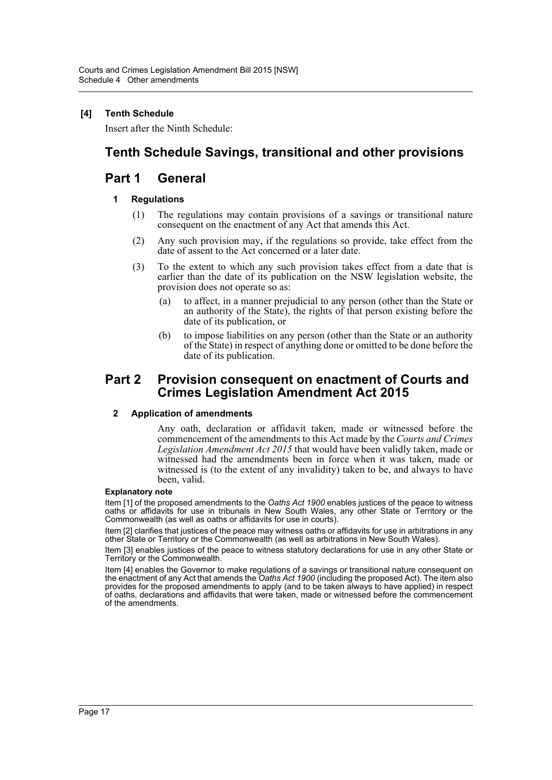# **[4] Tenth Schedule**

Insert after the Ninth Schedule:

# **Tenth Schedule Savings, transitional and other provisions**

# **Part 1 General**

# **1 Regulations**

- (1) The regulations may contain provisions of a savings or transitional nature consequent on the enactment of any Act that amends this Act.
- (2) Any such provision may, if the regulations so provide, take effect from the date of assent to the Act concerned or a later date.
- (3) To the extent to which any such provision takes effect from a date that is earlier than the date of its publication on the NSW legislation website, the provision does not operate so as:
	- (a) to affect, in a manner prejudicial to any person (other than the State or an authority of the State), the rights of that person existing before the date of its publication, or
	- (b) to impose liabilities on any person (other than the State or an authority of the State) in respect of anything done or omitted to be done before the date of its publication.

# **Part 2 Provision consequent on enactment of Courts and Crimes Legislation Amendment Act 2015**

## **2 Application of amendments**

Any oath, declaration or affidavit taken, made or witnessed before the commencement of the amendments to this Act made by the *Courts and Crimes Legislation Amendment Act 2015* that would have been validly taken, made or witnessed had the amendments been in force when it was taken, made or witnessed is (to the extent of any invalidity) taken to be, and always to have been, valid.

#### **Explanatory note**

Item [1] of the proposed amendments to the *Oaths Act 1900* enables justices of the peace to witness oaths or affidavits for use in tribunals in New South Wales, any other State or Territory or the Commonwealth (as well as oaths or affidavits for use in courts).

Item [2] clarifies that justices of the peace may witness oaths or affidavits for use in arbitrations in any other State or Territory or the Commonwealth (as well as arbitrations in New South Wales).

Item [3] enables justices of the peace to witness statutory declarations for use in any other State or Territory or the Commonwealth.

Item [4] enables the Governor to make regulations of a savings or transitional nature consequent on the enactment of any Act that amends the *Oaths Act 1900* (including the proposed Act). The item also provides for the proposed amendments to apply (and to be taken always to have applied) in respect of oaths, declarations and affidavits that were taken, made or witnessed before the commencement of the amendments.